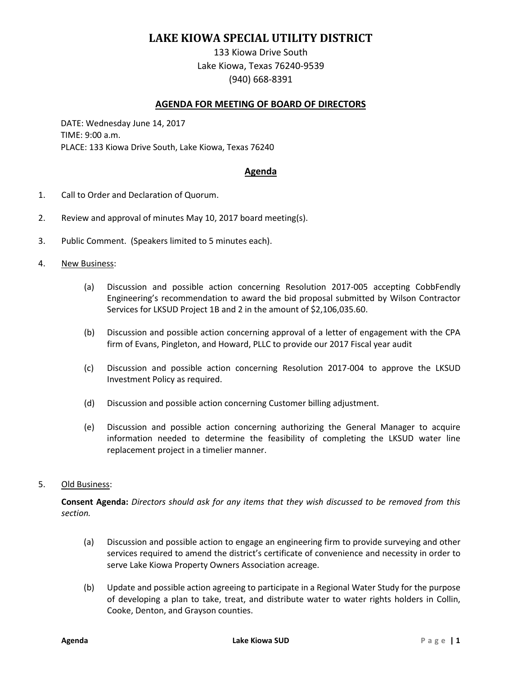# **LAKE KIOWA SPECIAL UTILITY DISTRICT**

133 Kiowa Drive South Lake Kiowa, Texas 76240-9539 (940) 668-8391

### **AGENDA FOR MEETING OF BOARD OF DIRECTORS**

DATE: Wednesday June 14, 2017 TIME: 9:00 a.m. PLACE: 133 Kiowa Drive South, Lake Kiowa, Texas 76240

### **Agenda**

- 1. Call to Order and Declaration of Quorum.
- 2. Review and approval of minutes May 10, 2017 board meeting(s).
- 3. Public Comment. (Speakers limited to 5 minutes each).

#### 4. New Business:

- (a) Discussion and possible action concerning Resolution 2017-005 accepting CobbFendly Engineering's recommendation to award the bid proposal submitted by Wilson Contractor Services for LKSUD Project 1B and 2 in the amount of \$2,106,035.60.
- (b) Discussion and possible action concerning approval of a letter of engagement with the CPA firm of Evans, Pingleton, and Howard, PLLC to provide our 2017 Fiscal year audit
- (c) Discussion and possible action concerning Resolution 2017-004 to approve the LKSUD Investment Policy as required.
- (d) Discussion and possible action concerning Customer billing adjustment.
- (e) Discussion and possible action concerning authorizing the General Manager to acquire information needed to determine the feasibility of completing the LKSUD water line replacement project in a timelier manner.

#### 5. Old Business:

**Consent Agenda:** *Directors should ask for any items that they wish discussed to be removed from this section.*

- (a) Discussion and possible action to engage an engineering firm to provide surveying and other services required to amend the district's certificate of convenience and necessity in order to serve Lake Kiowa Property Owners Association acreage.
- (b) Update and possible action agreeing to participate in a Regional Water Study for the purpose of developing a plan to take, treat, and distribute water to water rights holders in Collin, Cooke, Denton, and Grayson counties.